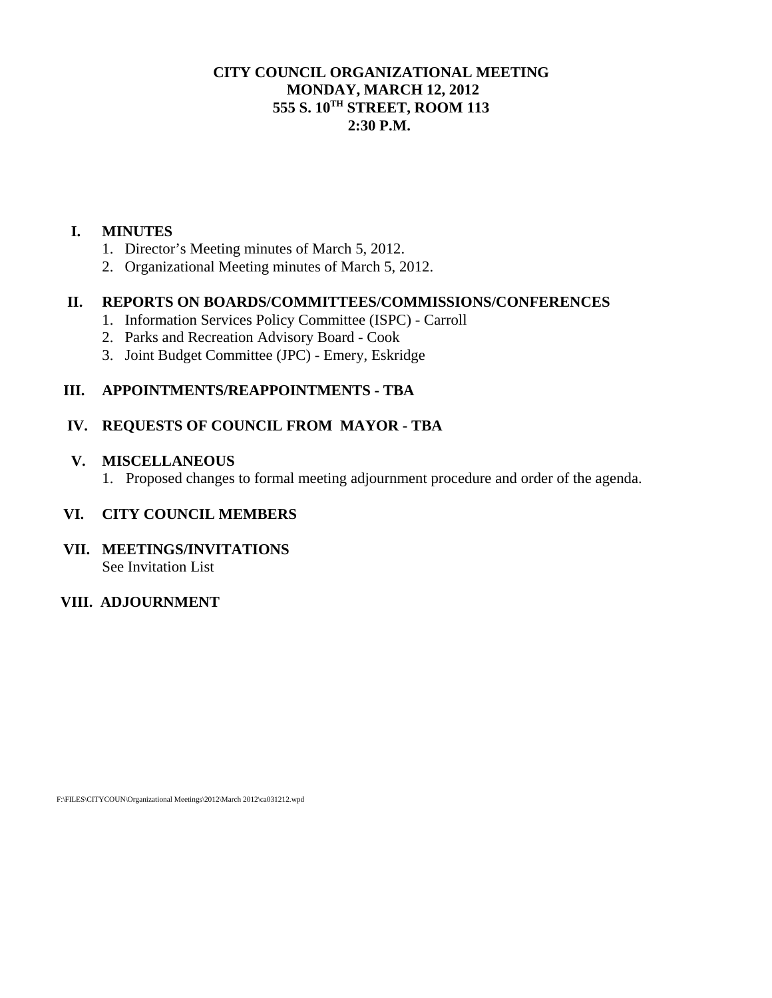#### **CITY COUNCIL ORGANIZATIONAL MEETING MONDAY, MARCH 12, 2012 555 S. 10TH STREET, ROOM 113 2:30 P.M.**

#### **I. MINUTES**

- 1. Director's Meeting minutes of March 5, 2012.
- 2. Organizational Meeting minutes of March 5, 2012.

### **II. REPORTS ON BOARDS/COMMITTEES/COMMISSIONS/CONFERENCES**

- 1. Information Services Policy Committee (ISPC) Carroll
- 2. Parks and Recreation Advisory Board Cook
- 3. Joint Budget Committee (JPC) Emery, Eskridge

## **III. APPOINTMENTS/REAPPOINTMENTS - TBA**

## **IV. REQUESTS OF COUNCIL FROM MAYOR - TBA**

#### **V. MISCELLANEOUS**

1. Proposed changes to formal meeting adjournment procedure and order of the agenda.

### **VI. CITY COUNCIL MEMBERS**

#### **VII. MEETINGS/INVITATIONS**  See Invitation List

# **VIII. ADJOURNMENT**

F:\FILES\CITYCOUN\Organizational Meetings\2012\March 2012\ca031212.wpd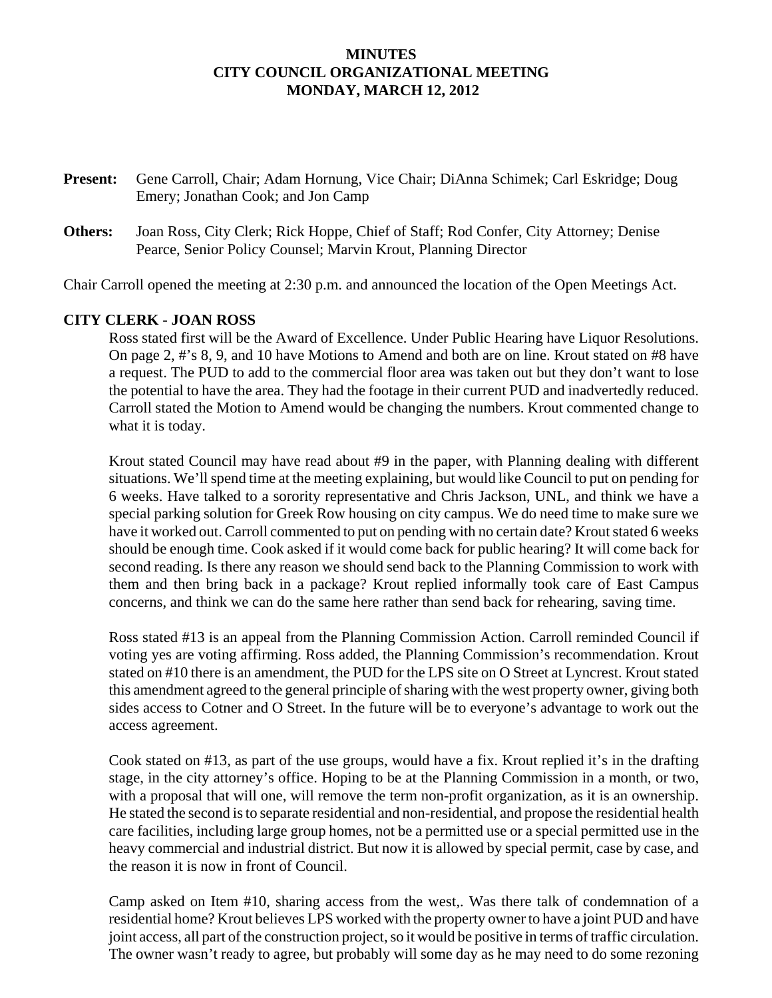#### **MINUTES CITY COUNCIL ORGANIZATIONAL MEETING MONDAY, MARCH 12, 2012**

- **Present:** Gene Carroll, Chair; Adam Hornung, Vice Chair; DiAnna Schimek; Carl Eskridge; Doug Emery; Jonathan Cook; and Jon Camp
- **Others:** Joan Ross, City Clerk; Rick Hoppe, Chief of Staff; Rod Confer, City Attorney; Denise Pearce, Senior Policy Counsel; Marvin Krout, Planning Director

Chair Carroll opened the meeting at 2:30 p.m. and announced the location of the Open Meetings Act.

#### **CITY CLERK - JOAN ROSS**

Ross stated first will be the Award of Excellence. Under Public Hearing have Liquor Resolutions. On page 2, #'s 8, 9, and 10 have Motions to Amend and both are on line. Krout stated on #8 have a request. The PUD to add to the commercial floor area was taken out but they don't want to lose the potential to have the area. They had the footage in their current PUD and inadvertedly reduced. Carroll stated the Motion to Amend would be changing the numbers. Krout commented change to what it is today.

Krout stated Council may have read about #9 in the paper, with Planning dealing with different situations. We'll spend time at the meeting explaining, but would like Council to put on pending for 6 weeks. Have talked to a sorority representative and Chris Jackson, UNL, and think we have a special parking solution for Greek Row housing on city campus. We do need time to make sure we have it worked out. Carroll commented to put on pending with no certain date? Krout stated 6 weeks should be enough time. Cook asked if it would come back for public hearing? It will come back for second reading. Is there any reason we should send back to the Planning Commission to work with them and then bring back in a package? Krout replied informally took care of East Campus concerns, and think we can do the same here rather than send back for rehearing, saving time.

Ross stated #13 is an appeal from the Planning Commission Action. Carroll reminded Council if voting yes are voting affirming. Ross added, the Planning Commission's recommendation. Krout stated on #10 there is an amendment, the PUD for the LPS site on O Street at Lyncrest. Krout stated this amendment agreed to the general principle of sharing with the west property owner, giving both sides access to Cotner and O Street. In the future will be to everyone's advantage to work out the access agreement.

Cook stated on #13, as part of the use groups, would have a fix. Krout replied it's in the drafting stage, in the city attorney's office. Hoping to be at the Planning Commission in a month, or two, with a proposal that will one, will remove the term non-profit organization, as it is an ownership. He stated the second is to separate residential and non-residential, and propose the residential health care facilities, including large group homes, not be a permitted use or a special permitted use in the heavy commercial and industrial district. But now it is allowed by special permit, case by case, and the reason it is now in front of Council.

Camp asked on Item #10, sharing access from the west,. Was there talk of condemnation of a residential home? Krout believes LPS worked with the property owner to have a joint PUD and have joint access, all part of the construction project, so it would be positive in terms of traffic circulation. The owner wasn't ready to agree, but probably will some day as he may need to do some rezoning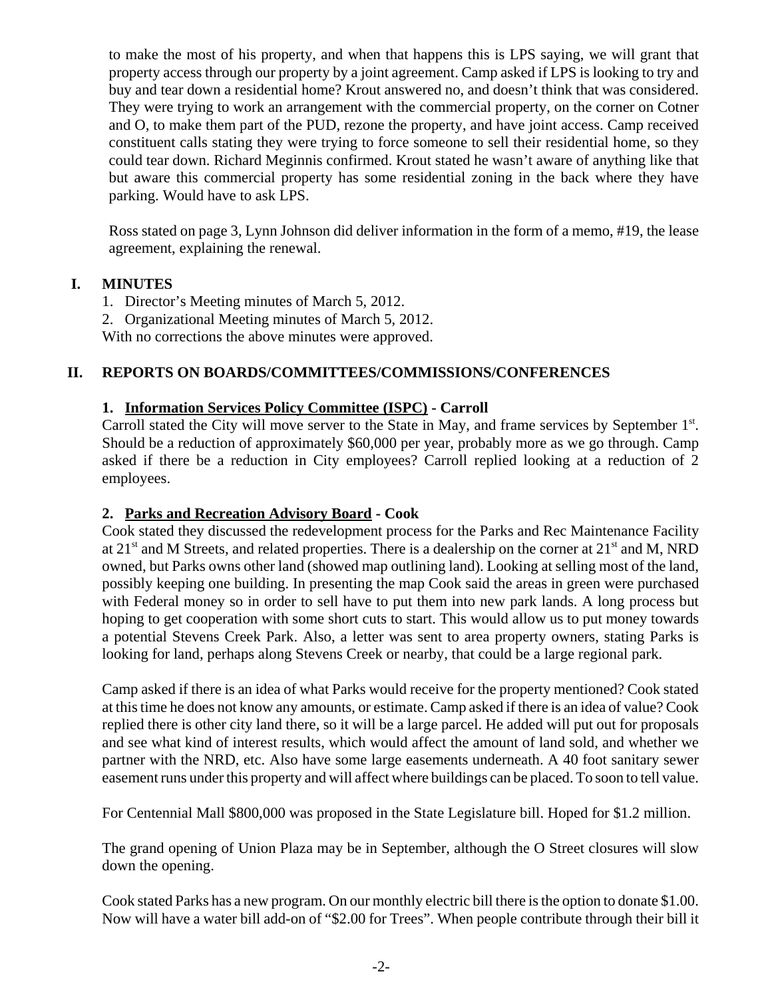to make the most of his property, and when that happens this is LPS saying, we will grant that property access through our property by a joint agreement. Camp asked if LPS is looking to try and buy and tear down a residential home? Krout answered no, and doesn't think that was considered. They were trying to work an arrangement with the commercial property, on the corner on Cotner and O, to make them part of the PUD, rezone the property, and have joint access. Camp received constituent calls stating they were trying to force someone to sell their residential home, so they could tear down. Richard Meginnis confirmed. Krout stated he wasn't aware of anything like that but aware this commercial property has some residential zoning in the back where they have parking. Would have to ask LPS.

Ross stated on page 3, Lynn Johnson did deliver information in the form of a memo, #19, the lease agreement, explaining the renewal.

## **I. MINUTES**

1. Director's Meeting minutes of March 5, 2012.

2. Organizational Meeting minutes of March 5, 2012.

With no corrections the above minutes were approved.

### **II. REPORTS ON BOARDS/COMMITTEES/COMMISSIONS/CONFERENCES**

### **1. Information Services Policy Committee (ISPC) - Carroll**

Carroll stated the City will move server to the State in May, and frame services by September 1<sup>st</sup>. Should be a reduction of approximately \$60,000 per year, probably more as we go through. Camp asked if there be a reduction in City employees? Carroll replied looking at a reduction of 2 employees.

### **2. Parks and Recreation Advisory Board - Cook**

Cook stated they discussed the redevelopment process for the Parks and Rec Maintenance Facility at 21<sup>st</sup> and M Streets, and related properties. There is a dealership on the corner at 21<sup>st</sup> and M, NRD owned, but Parks owns other land (showed map outlining land). Looking at selling most of the land, possibly keeping one building. In presenting the map Cook said the areas in green were purchased with Federal money so in order to sell have to put them into new park lands. A long process but hoping to get cooperation with some short cuts to start. This would allow us to put money towards a potential Stevens Creek Park. Also, a letter was sent to area property owners, stating Parks is looking for land, perhaps along Stevens Creek or nearby, that could be a large regional park.

Camp asked if there is an idea of what Parks would receive for the property mentioned? Cook stated at this time he does not know any amounts, or estimate. Camp asked if there is an idea of value? Cook replied there is other city land there, so it will be a large parcel. He added will put out for proposals and see what kind of interest results, which would affect the amount of land sold, and whether we partner with the NRD, etc. Also have some large easements underneath. A 40 foot sanitary sewer easement runs under this property and will affect where buildings can be placed. To soon to tell value.

For Centennial Mall \$800,000 was proposed in the State Legislature bill. Hoped for \$1.2 million.

The grand opening of Union Plaza may be in September, although the O Street closures will slow down the opening.

Cook stated Parks has a new program. On our monthly electric bill there is the option to donate \$1.00. Now will have a water bill add-on of "\$2.00 for Trees". When people contribute through their bill it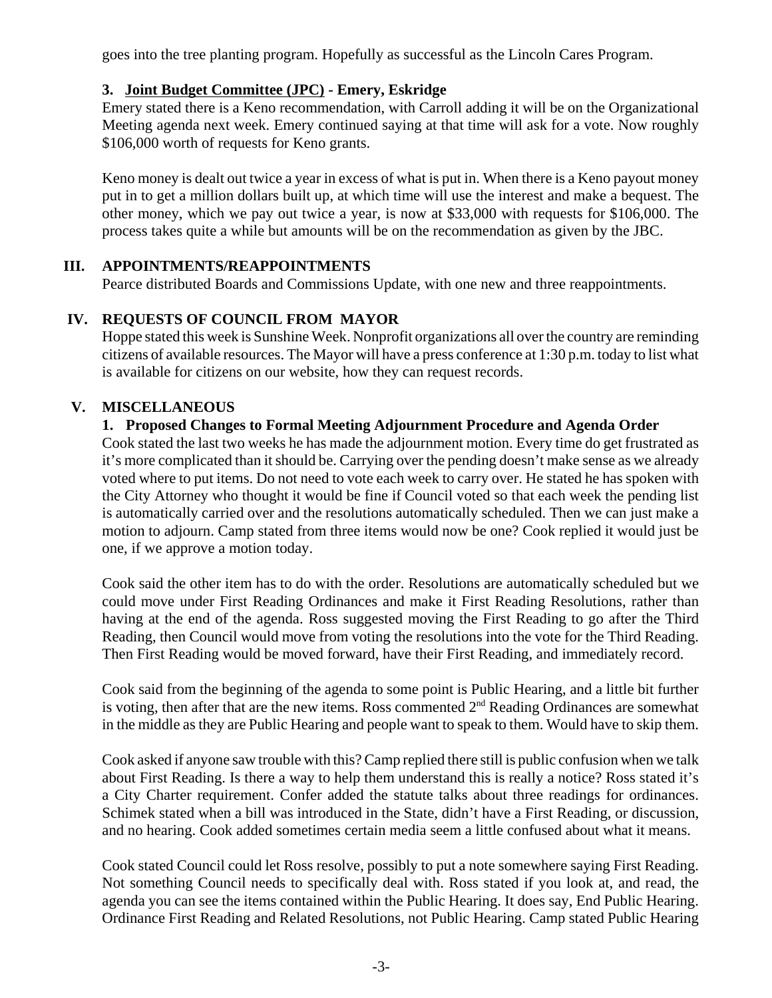goes into the tree planting program. Hopefully as successful as the Lincoln Cares Program.

### **3. Joint Budget Committee (JPC) - Emery, Eskridge**

Emery stated there is a Keno recommendation, with Carroll adding it will be on the Organizational Meeting agenda next week. Emery continued saying at that time will ask for a vote. Now roughly \$106,000 worth of requests for Keno grants.

Keno money is dealt out twice a year in excess of what is put in. When there is a Keno payout money put in to get a million dollars built up, at which time will use the interest and make a bequest. The other money, which we pay out twice a year, is now at \$33,000 with requests for \$106,000. The process takes quite a while but amounts will be on the recommendation as given by the JBC.

## **III. APPOINTMENTS/REAPPOINTMENTS**

Pearce distributed Boards and Commissions Update, with one new and three reappointments.

## **IV. REQUESTS OF COUNCIL FROM MAYOR**

Hoppe stated this week is Sunshine Week. Nonprofit organizations all over the country are reminding citizens of available resources. The Mayor will have a press conference at 1:30 p.m. today to list what is available for citizens on our website, how they can request records.

# **V. MISCELLANEOUS**

### **1. Proposed Changes to Formal Meeting Adjournment Procedure and Agenda Order**

Cook stated the last two weeks he has made the adjournment motion. Every time do get frustrated as it's more complicated than it should be. Carrying over the pending doesn't make sense as we already voted where to put items. Do not need to vote each week to carry over. He stated he has spoken with the City Attorney who thought it would be fine if Council voted so that each week the pending list is automatically carried over and the resolutions automatically scheduled. Then we can just make a motion to adjourn. Camp stated from three items would now be one? Cook replied it would just be one, if we approve a motion today.

Cook said the other item has to do with the order. Resolutions are automatically scheduled but we could move under First Reading Ordinances and make it First Reading Resolutions, rather than having at the end of the agenda. Ross suggested moving the First Reading to go after the Third Reading, then Council would move from voting the resolutions into the vote for the Third Reading. Then First Reading would be moved forward, have their First Reading, and immediately record.

Cook said from the beginning of the agenda to some point is Public Hearing, and a little bit further is voting, then after that are the new items. Ross commented  $2<sup>nd</sup>$  Reading Ordinances are somewhat in the middle as they are Public Hearing and people want to speak to them. Would have to skip them.

Cook asked if anyone saw trouble with this? Camp replied there still is public confusion when we talk about First Reading. Is there a way to help them understand this is really a notice? Ross stated it's a City Charter requirement. Confer added the statute talks about three readings for ordinances. Schimek stated when a bill was introduced in the State, didn't have a First Reading, or discussion, and no hearing. Cook added sometimes certain media seem a little confused about what it means.

Cook stated Council could let Ross resolve, possibly to put a note somewhere saying First Reading. Not something Council needs to specifically deal with. Ross stated if you look at, and read, the agenda you can see the items contained within the Public Hearing. It does say, End Public Hearing. Ordinance First Reading and Related Resolutions, not Public Hearing. Camp stated Public Hearing